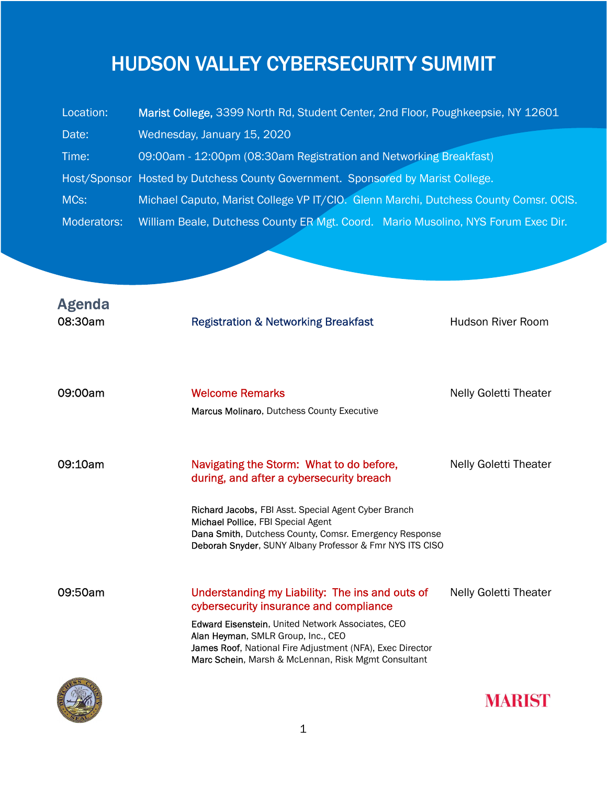## HUDSON VALLEY CYBERSECURITY SUMMIT

| Location:   | Marist College, 3399 North Rd, Student Center, 2nd Floor, Poughkeepsie, NY 12601     |  |  |
|-------------|--------------------------------------------------------------------------------------|--|--|
| Date:       | Wednesday, January 15, 2020                                                          |  |  |
| Time:       | 09:00am - 12:00pm (08:30am Registration and Networking Breakfast)                    |  |  |
|             | Host/Sponsor Hosted by Dutchess County Government. Sponsored by Marist College.      |  |  |
| MCs:        | Michael Caputo, Marist College VP IT/CIO. Glenn Marchi, Dutchess County Comsr. OCIS. |  |  |
| Moderators: | William Beale, Dutchess County ER Mgt. Coord. Mario Musolino, NYS Forum Exec Dir.    |  |  |

| <b>Agenda</b><br>08:30am | <b>Registration &amp; Networking Breakfast</b>                                                                                                                                                                   | <b>Hudson River Room</b>     |
|--------------------------|------------------------------------------------------------------------------------------------------------------------------------------------------------------------------------------------------------------|------------------------------|
| 09:00am                  | <b>Welcome Remarks</b><br>Marcus Molinaro, Dutchess County Executive                                                                                                                                             | <b>Nelly Goletti Theater</b> |
| 09:10am                  | Navigating the Storm: What to do before,<br>during, and after a cybersecurity breach                                                                                                                             | <b>Nelly Goletti Theater</b> |
|                          | Richard Jacobs, FBI Asst. Special Agent Cyber Branch<br>Michael Pollice, FBI Special Agent<br>Dana Smith, Dutchess County, Comsr. Emergency Response<br>Deborah Snyder, SUNY Albany Professor & Fmr NYS ITS CISO |                              |
| 09:50am                  | Understanding my Liability: The ins and outs of<br>cybersecurity insurance and compliance                                                                                                                        | Nelly Goletti Theater        |
|                          | Edward Eisenstein, United Network Associates, CEO<br>Alan Heyman, SMLR Group, Inc., CEO<br>James Roof, National Fire Adjustment (NFA), Exec Director<br>Marc Schein, Marsh & McLennan, Risk Mgmt Consultant      |                              |
|                          |                                                                                                                                                                                                                  |                              |



**MARIST**